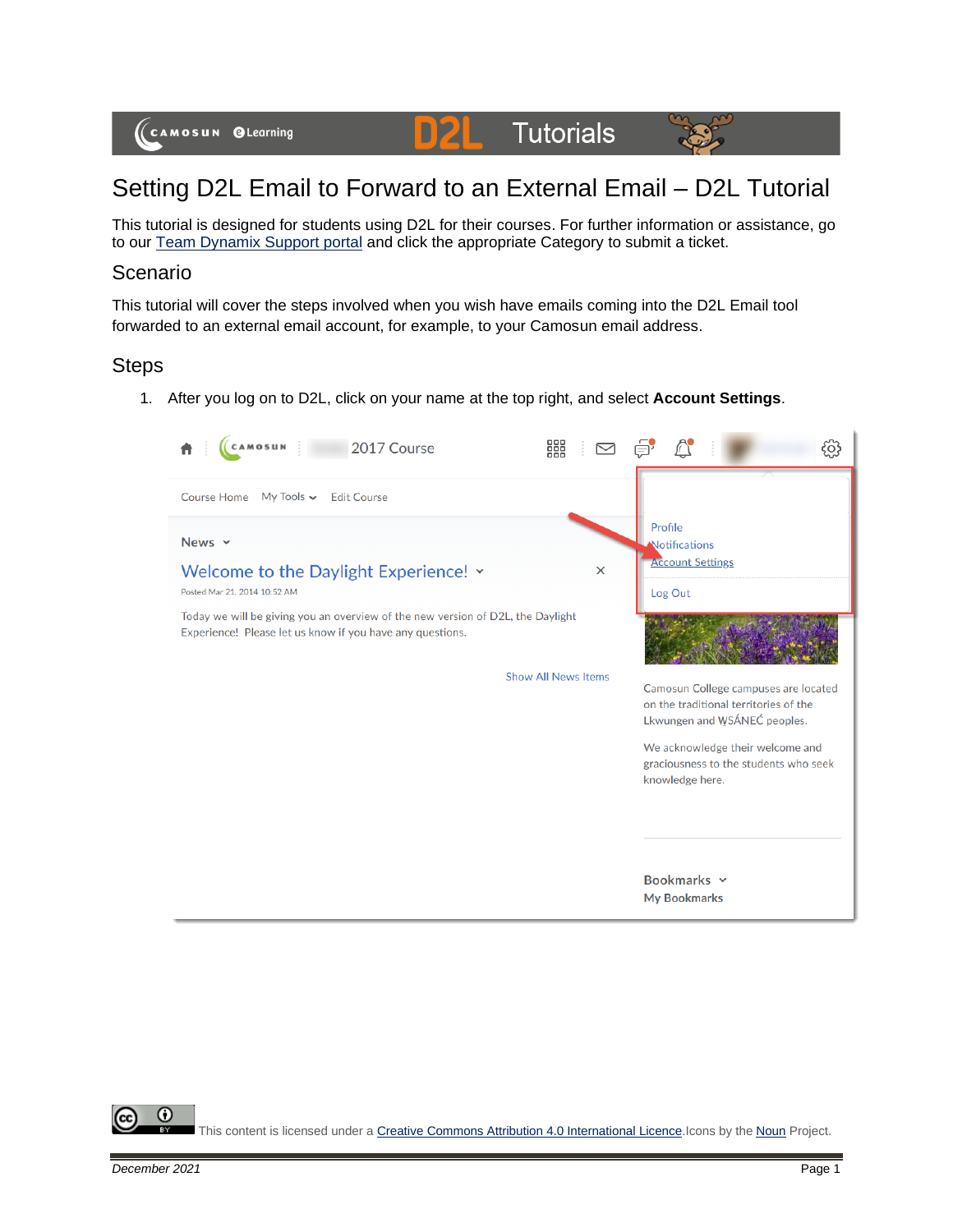

## Setting D2L Email to Forward to an External Email – D2L Tutorial

This tutorial is designed for students using D2L for their courses. For further information or assistance, go to our [Team Dynamix Support portal](https://camosun.teamdynamix.com/TDClient/67/Portal/Requests/ServiceCatalog?CategoryID=524) and click the appropriate Category to submit a ticket.

## Scenario

This tutorial will cover the steps involved when you wish have emails coming into the D2L Email tool forwarded to an external email account, for example, to your Camosun email address.

## Steps

1. After you log on to D2L, click on your name at the top right, and select **Account Settings**.



⋒ This content is licensed under [a Creative Commons Attribution 4.0 International Licence.I](https://creativecommons.org/licenses/by/4.0/)cons by the [Noun](https://creativecommons.org/website-icons/) Project.